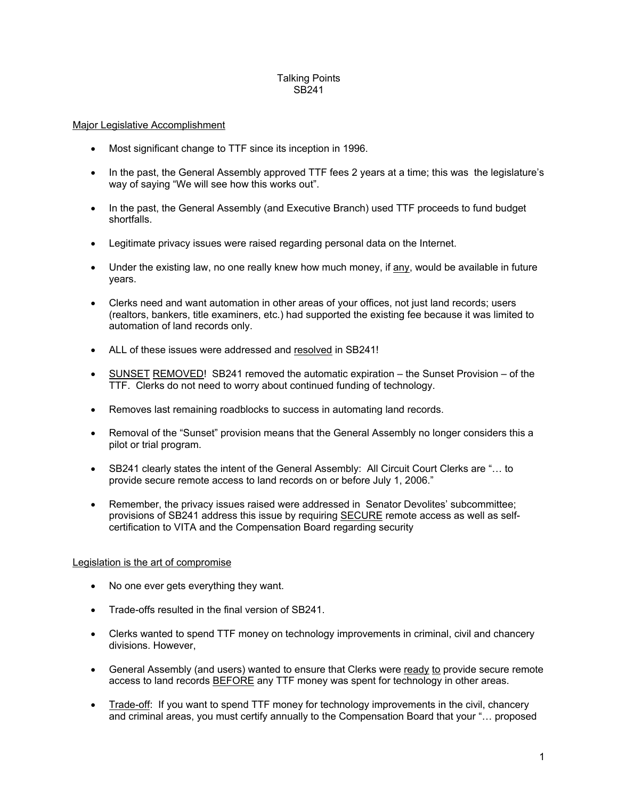#### Talking Points SB241

#### Major Legislative Accomplishment

- Most significant change to TTF since its inception in 1996.
- In the past, the General Assembly approved TTF fees 2 years at a time; this was the legislature's way of saying "We will see how this works out".
- In the past, the General Assembly (and Executive Branch) used TTF proceeds to fund budget shortfalls.
- Legitimate privacy issues were raised regarding personal data on the Internet.
- Under the existing law, no one really knew how much money, if any, would be available in future years.
- Clerks need and want automation in other areas of your offices, not just land records; users (realtors, bankers, title examiners, etc.) had supported the existing fee because it was limited to automation of land records only.
- ALL of these issues were addressed and resolved in SB241!
- SUNSET REMOVED! SB241 removed the automatic expiration the Sunset Provision of the TTF. Clerks do not need to worry about continued funding of technology.
- Removes last remaining roadblocks to success in automating land records.
- Removal of the "Sunset" provision means that the General Assembly no longer considers this a pilot or trial program.
- SB241 clearly states the intent of the General Assembly: All Circuit Court Clerks are "... to provide secure remote access to land records on or before July 1, 2006."
- Remember, the privacy issues raised were addressed in Senator Devolites' subcommittee; provisions of SB241 address this issue by requiring **SECURE** remote access as well as selfcertification to VITA and the Compensation Board regarding security

# Legislation is the art of compromise

- No one ever gets everything they want.
- Trade-offs resulted in the final version of SB241.
- Clerks wanted to spend TTF money on technology improvements in criminal, civil and chancery divisions. However,
- General Assembly (and users) wanted to ensure that Clerks were ready to provide secure remote access to land records BEFORE any TTF money was spent for technology in other areas.
- Trade-off: If you want to spend TTF money for technology improvements in the civil, chancery and criminal areas, you must certify annually to the Compensation Board that your "… proposed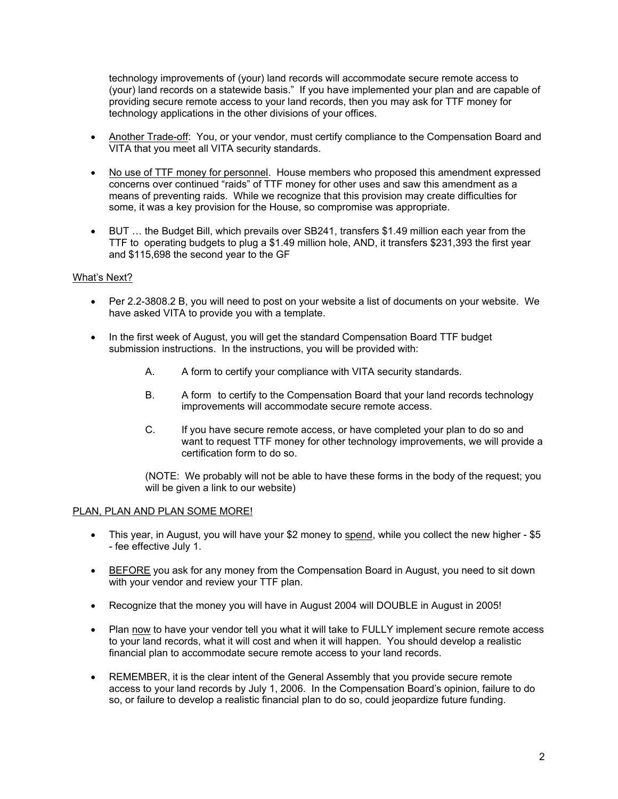technology improvements of (your) land records will accommodate secure remote access to (your) land records on a statewide basis." If you have implemented your plan and are capable of providing secure remote access to your land records, then you may ask for TTF money for technology applications in the other divisions of your offices.

- Another Trade-off: You, or your vendor, must certify compliance to the Compensation Board and VITA that you meet all VITA security standards.
- No use of TTF money for personnel. House members who proposed this amendment expressed concerns over continued "raids" of TTF money for other uses and saw this amendment as a means of preventing raids. While we recognize that this provision may create difficulties for some, it was a key provision for the House, so compromise was appropriate.
- BUT … the Budget Bill, which prevails over SB241, transfers \$1.49 million each year from the TTF to operating budgets to plug a \$1.49 million hole, AND, it transfers \$231,393 the first year and \$115,698 the second year to the GF

#### What's Next?

- Per 2.2-3808.2 B, you will need to post on your website a list of documents on your website. We have asked VITA to provide you with a template.
- In the first week of August, you will get the standard Compensation Board TTF budget submission instructions. In the instructions, you will be provided with:
	- A. A form to certify your compliance with VITA security standards.
	- B. A form to certify to the Compensation Board that your land records technology improvements will accommodate secure remote access.
	- C. If you have secure remote access, or have completed your plan to do so and want to request TTF money for other technology improvements, we will provide a certification form to do so.

(NOTE: We probably will not be able to have these forms in the body of the request; you will be given a link to our website)

#### PLAN, PLAN AND PLAN SOME MORE!

- This year, in August, you will have your \$2 money to spend, while you collect the new higher \$5 - fee effective July 1.
- BEFORE you ask for any money from the Compensation Board in August, you need to sit down with your vendor and review your TTF plan.
- Recognize that the money you will have in August 2004 will DOUBLE in August in 2005!
- Plan now to have your vendor tell you what it will take to FULLY implement secure remote access to your land records, what it will cost and when it will happen. You should develop a realistic financial plan to accommodate secure remote access to your land records.
- REMEMBER, it is the clear intent of the General Assembly that you provide secure remote access to your land records by July 1, 2006. In the Compensation Board's opinion, failure to do so, or failure to develop a realistic financial plan to do so, could jeopardize future funding.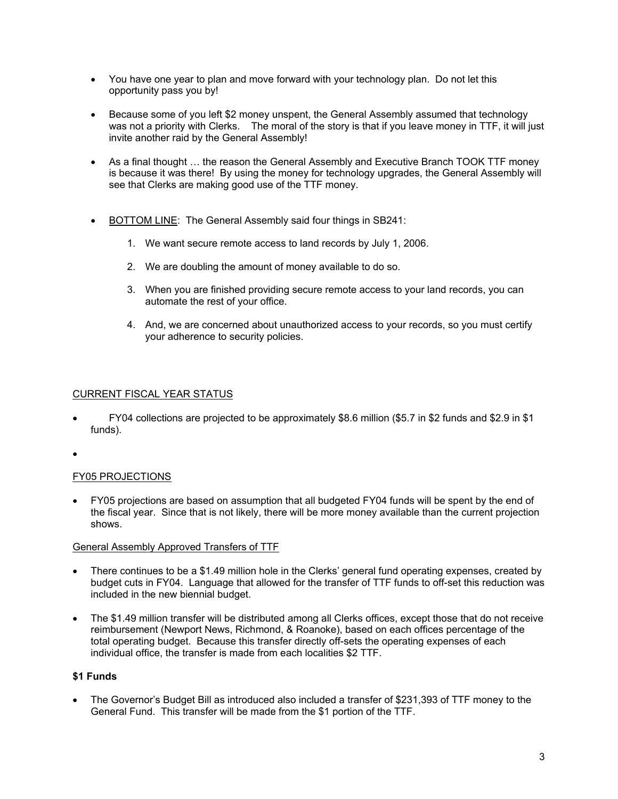- You have one year to plan and move forward with your technology plan. Do not let this opportunity pass you by!
- Because some of you left \$2 money unspent, the General Assembly assumed that technology was not a priority with Clerks. The moral of the story is that if you leave money in TTF, it will just invite another raid by the General Assembly!
- As a final thought … the reason the General Assembly and Executive Branch TOOK TTF money is because it was there! By using the money for technology upgrades, the General Assembly will see that Clerks are making good use of the TTF money.
- BOTTOM LINE: The General Assembly said four things in SB241:
	- 1. We want secure remote access to land records by July 1, 2006.
	- 2. We are doubling the amount of money available to do so.
	- 3. When you are finished providing secure remote access to your land records, you can automate the rest of your office.
	- 4. And, we are concerned about unauthorized access to your records, so you must certify your adherence to security policies.

# CURRENT FISCAL YEAR STATUS

- FY04 collections are projected to be approximately \$8.6 million (\$5.7 in \$2 funds and \$2.9 in \$1 funds).
- •

# FY05 PROJECTIONS

• FY05 projections are based on assumption that all budgeted FY04 funds will be spent by the end of the fiscal year. Since that is not likely, there will be more money available than the current projection shows.

# General Assembly Approved Transfers of TTF

- There continues to be a \$1.49 million hole in the Clerks' general fund operating expenses, created by budget cuts in FY04. Language that allowed for the transfer of TTF funds to off-set this reduction was included in the new biennial budget.
- The \$1.49 million transfer will be distributed among all Clerks offices, except those that do not receive reimbursement (Newport News, Richmond, & Roanoke), based on each offices percentage of the total operating budget. Because this transfer directly off-sets the operating expenses of each individual office, the transfer is made from each localities \$2 TTF.

# **\$1 Funds**

• The Governor's Budget Bill as introduced also included a transfer of \$231,393 of TTF money to the General Fund. This transfer will be made from the \$1 portion of the TTF.